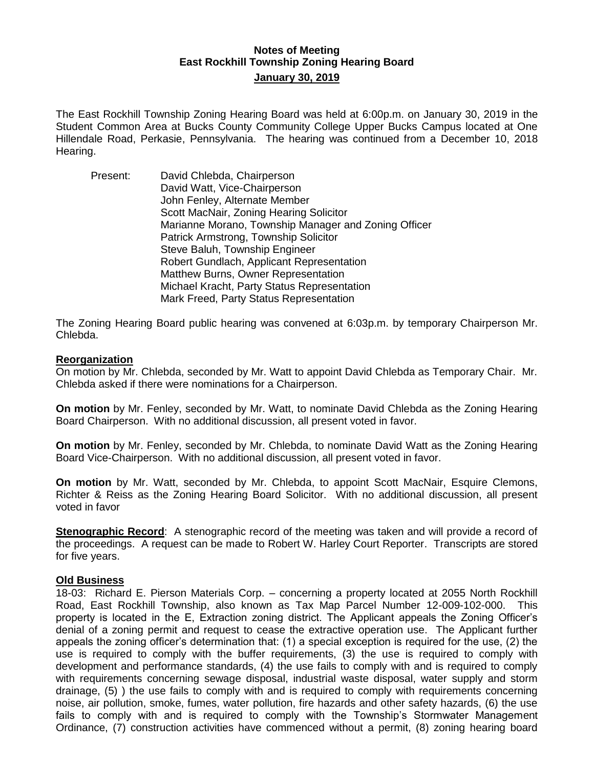# **Notes of Meeting East Rockhill Township Zoning Hearing Board January 30, 2019**

The East Rockhill Township Zoning Hearing Board was held at 6:00p.m. on January 30, 2019 in the Student Common Area at Bucks County Community College Upper Bucks Campus located at One Hillendale Road, Perkasie, Pennsylvania. The hearing was continued from a December 10, 2018 Hearing.

Present: David Chlebda, Chairperson David Watt, Vice-Chairperson John Fenley, Alternate Member Scott MacNair, Zoning Hearing Solicitor Marianne Morano, Township Manager and Zoning Officer Patrick Armstrong, Township Solicitor Steve Baluh, Township Engineer Robert Gundlach, Applicant Representation Matthew Burns, Owner Representation Michael Kracht, Party Status Representation Mark Freed, Party Status Representation

The Zoning Hearing Board public hearing was convened at 6:03p.m. by temporary Chairperson Mr. Chlebda.

#### **Reorganization**

On motion by Mr. Chlebda, seconded by Mr. Watt to appoint David Chlebda as Temporary Chair. Mr. Chlebda asked if there were nominations for a Chairperson.

**On motion** by Mr. Fenley, seconded by Mr. Watt, to nominate David Chlebda as the Zoning Hearing Board Chairperson. With no additional discussion, all present voted in favor.

**On motion** by Mr. Fenley, seconded by Mr. Chlebda, to nominate David Watt as the Zoning Hearing Board Vice-Chairperson. With no additional discussion, all present voted in favor.

**On motion** by Mr. Watt, seconded by Mr. Chlebda, to appoint Scott MacNair, Esquire Clemons, Richter & Reiss as the Zoning Hearing Board Solicitor. With no additional discussion, all present voted in favor

**Stenographic Record:** A stenographic record of the meeting was taken and will provide a record of the proceedings. A request can be made to Robert W. Harley Court Reporter. Transcripts are stored for five years.

#### **Old Business**

18-03: Richard E. Pierson Materials Corp. – concerning a property located at 2055 North Rockhill Road, East Rockhill Township, also known as Tax Map Parcel Number 12-009-102-000. This property is located in the E, Extraction zoning district. The Applicant appeals the Zoning Officer's denial of a zoning permit and request to cease the extractive operation use. The Applicant further appeals the zoning officer's determination that: (1) a special exception is required for the use, (2) the use is required to comply with the buffer requirements, (3) the use is required to comply with development and performance standards, (4) the use fails to comply with and is required to comply with requirements concerning sewage disposal, industrial waste disposal, water supply and storm drainage, (5) ) the use fails to comply with and is required to comply with requirements concerning noise, air pollution, smoke, fumes, water pollution, fire hazards and other safety hazards, (6) the use fails to comply with and is required to comply with the Township's Stormwater Management Ordinance, (7) construction activities have commenced without a permit, (8) zoning hearing board